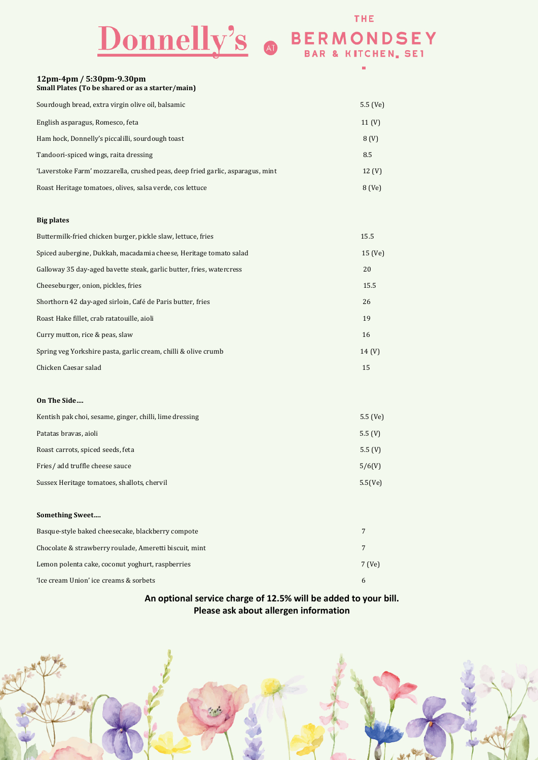# Donnelly's O BERMONDSEY

|                                                                                | ш                 |
|--------------------------------------------------------------------------------|-------------------|
| 12pm-4pm / 5:30pm-9.30pm<br>Small Plates (To be shared or as a starter/main)   |                   |
| Sourdough bread, extra virgin olive oil, balsamic                              | $5.5$ (Ve)        |
| English asparagus, Romesco, feta                                               | 11 $(V)$          |
| Ham hock, Donnelly's piccalilli, sourdough toast                               | 8 <sub>(V)</sub>  |
| Tandoori-spiced wings, raita dressing                                          | 8.5               |
| 'Laverstoke Farm' mozzarella, crushed peas, deep fried garlic, asparagus, mint | 12 <sub>(V)</sub> |
| Roast Heritage tomatoes, olives, salsa verde, cos lettuce                      | 8 (Ve)            |
|                                                                                |                   |
| <b>Big plates</b>                                                              |                   |
| Buttermilk-fried chicken burger, pickle slaw, lettuce, fries                   | 15.5              |
| Spiced aubergine, Dukkah, macadamia cheese, Heritage tomato salad              | 15 (Ve)           |
| Galloway 35 day-aged bavette steak, garlic butter, fries, watercress           | 20                |
| Cheeseburger, onion, pickles, fries                                            | 15.5              |
| Shorthorn 42 day-aged sirloin, Café de Paris butter, fries                     | 26                |
| Roast Hake fillet, crab ratatouille, aioli                                     | 19                |
| Curry mutton, rice & peas, slaw                                                | 16                |
| Spring veg Yorkshire pasta, garlic cream, chilli & olive crumb                 | 14 (V)            |
| Chicken Caesar salad                                                           | 15                |
|                                                                                |                   |
| On The Side                                                                    |                   |
| Kentish pak choi, sesame, ginger, chilli, lime dressing                        | 5.5 (Ve)          |
| Patatas bravas, aioli                                                          | 5.5(V)            |
| Roast carrots, spiced seeds, feta                                              | 5.5 $(V)$         |
| Fries/add truffle cheese sauce                                                 | 5/6(V)            |
| Sussex Heritage tomatoes, shallots, chervil                                    | 5.5(Ve)           |

#### **Something Sweet....**

| Basque-style baked cheesecake, blackberry compote      |        |
|--------------------------------------------------------|--------|
| Chocolate & strawberry roulade, Ameretti biscuit, mint |        |
| Lemon polenta cake, coconut yoghurt, raspberries       | 7 (Ve) |
| 'Ice cream Union' ice creams & sorbets                 |        |

### **An optional service charge of 12.5% will be added to your bill. Please ask about allergen information**